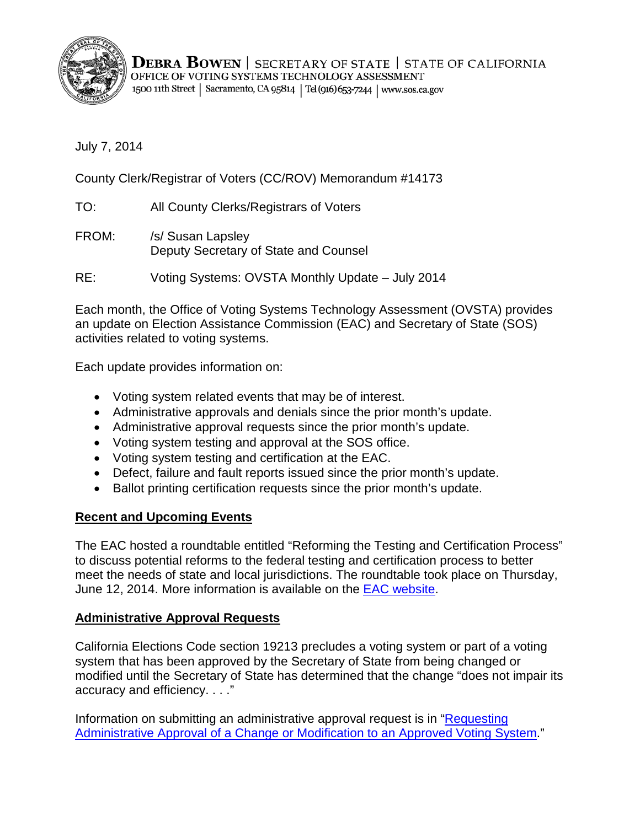

**DEBRA BOWEN** | SECRETARY OF STATE | STATE OF CALIFORNIA OFFICE OF VOTING SYSTEMS TECHNOLOGY ASSESSMENT 1500 11th Street | Sacramento, CA 95814 | Tel (916) 653-7244 | www.sos.ca.gov

July 7, 2014

County Clerk/Registrar of Voters (CC/ROV) Memorandum #14173

TO: All County Clerks/Registrars of Voters

FROM: /s/ Susan Lapsley Deputy Secretary of State and Counsel

RE: Voting Systems: OVSTA Monthly Update – July 2014

Each month, the Office of Voting Systems Technology Assessment (OVSTA) provides an update on Election Assistance Commission (EAC) and Secretary of State (SOS) activities related to voting systems.

Each update provides information on:

- Voting system related events that may be of interest.
- Administrative approvals and denials since the prior month's update.
- Administrative approval requests since the prior month's update.
- Voting system testing and approval at the SOS office.
- Voting system testing and certification at the EAC.
- Defect, failure and fault reports issued since the prior month's update.
- Ballot printing certification requests since the prior month's update.

### **Recent and Upcoming Events**

The EAC hosted a roundtable entitled "Reforming the Testing and Certification Process" to discuss potential reforms to the federal testing and certification process to better meet the needs of state and local jurisdictions. The roundtable took place on Thursday, June 12, 2014. More information is available on the [EAC website.](http://www.eac.gov/roundtable_-_reforming_the_testing_and_certification_process/)

### **Administrative Approval Requests**

California Elections Code section 19213 precludes a voting system or part of a voting system that has been approved by the Secretary of State from being changed or modified until the Secretary of State has determined that the change "does not impair its accuracy and efficiency. . . ."

Information on submitting an administrative approval request is in ["Requesting](http://www.sos.ca.gov/voting-systems/cert-and-approval/vsysapproval/admin-approval-requirements2012.pdf)  [Administrative Approval of a Change or Modification to an Approved Voting System.](http://www.sos.ca.gov/voting-systems/cert-and-approval/vsysapproval/admin-approval-requirements2012.pdf)"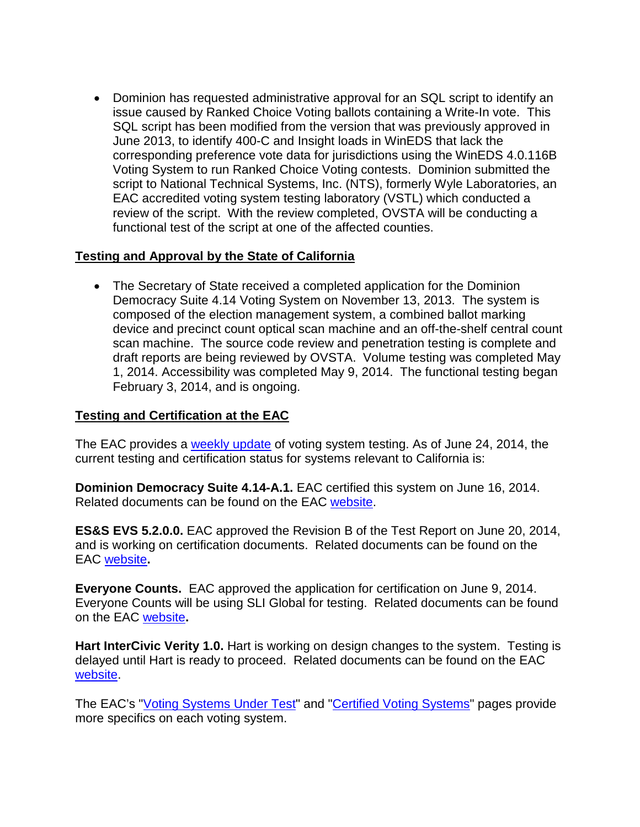• Dominion has requested administrative approval for an SQL script to identify an issue caused by Ranked Choice Voting ballots containing a Write-In vote. This SQL script has been modified from the version that was previously approved in June 2013, to identify 400-C and Insight loads in WinEDS that lack the corresponding preference vote data for jurisdictions using the WinEDS 4.0.116B Voting System to run Ranked Choice Voting contests. Dominion submitted the script to National Technical Systems, Inc. (NTS), formerly Wyle Laboratories, an EAC accredited voting system testing laboratory (VSTL) which conducted a review of the script. With the review completed, OVSTA will be conducting a functional test of the script at one of the affected counties.

## **Testing and Approval by the State of California**

• The Secretary of State received a completed application for the Dominion Democracy Suite 4.14 Voting System on November 13, 2013. The system is composed of the election management system, a combined ballot marking device and precinct count optical scan machine and an off-the-shelf central count scan machine. The source code review and penetration testing is complete and draft reports are being reviewed by OVSTA. Volume testing was completed May 1, 2014. Accessibility was completed May 9, 2014. The functional testing began February 3, 2014, and is ongoing.

# **Testing and Certification at the EAC**

The EAC provides a [weekly update](http://www.eac.gov/blogs/voting_system_testing_update_62414/) of voting system testing. As of June 24, 2014, the current testing and certification status for systems relevant to California is:

**Dominion Democracy Suite 4.14-A.1.** EAC certified this system on June 16, 2014. Related documents can be found on the EAC [website.](http://www.eac.gov/testing_and_certification/voting_systems_under_test.aspx)

**ES&S EVS 5.2.0.0.** EAC approved the Revision B of the Test Report on June 20, 2014, and is working on certification documents. Related documents can be found on the EAC [website](http://www.eac.gov/testing_and_certification/voting_systems_under_test.aspx)**.** 

**Everyone Counts.** EAC approved the application for certification on June 9, 2014. Everyone Counts will be using SLI Global for testing. Related documents can be found on the EAC [website](http://www.eac.gov/testing_and_certification/voting_systems_under_test.aspx)**.**

**Hart InterCivic Verity 1.0.** Hart is working on design changes to the system. Testing is delayed until Hart is ready to proceed. Related documents can be found on the EAC [website.](http://www.eac.gov/testing_and_certification/voting_systems_under_test.aspx)

The EAC's ["Voting Systems Under Test"](http://www.eac.gov/testing_and_certification/voting_systems_under_test.aspx) and ["Certified Voting Systems"](http://www.eac.gov/testing_and_certification/certified_voting_systems.aspx) pages provide more specifics on each voting system.